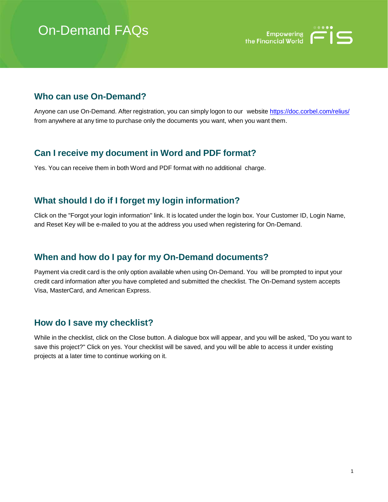# On-Demand FAQs



#### **Who can use On-Demand?**

Anyone can use On-Demand. After registration, you can simply logon to our website [https://doc.corbel.com/relius/](http://www.relius.net/) from anywhere at any time to purchase only the documents you want, when you want them.

# **Can I receive my document in Word and PDF format?**

Yes. You can receive them in both Word and PDF format with no additional charge.

#### **What should I do if I forget my login information?**

Click on the "Forgot your login information" link. It is located under the login box. Your Customer ID, Login Name, and Reset Key will be e-mailed to you at the address you used when registering for On-Demand.

# **When and how do I pay for my On-Demand documents?**

Payment via credit card is the only option available when using On-Demand. You will be prompted to input your credit card information after you have completed and submitted the checklist. The On-Demand system accepts Visa, MasterCard, and American Express.

#### **How do I save my checklist?**

While in the checklist, click on the Close button. A dialogue box will appear, and you will be asked, "Do you want to save this project?" Click on yes. Your checklist will be saved, and you will be able to access it under existing projects at a later time to continue working on it.